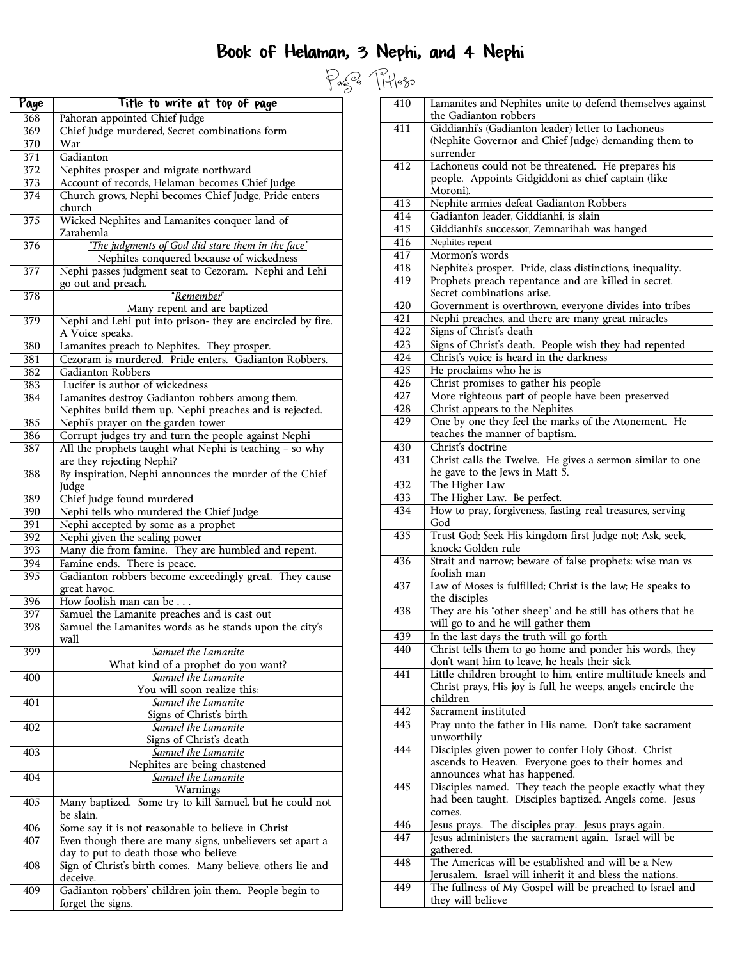# Book of Helaman, 3 Nephi, and 4 Nephi

| Page             | Title to write at top of page                                                                 |
|------------------|-----------------------------------------------------------------------------------------------|
| 368              | Pahoran appointed Chief Judge                                                                 |
| 369              | Chief Judge murdered, Secret combinations form                                                |
| 370              | War                                                                                           |
| 371              | Gadianton                                                                                     |
| 372              | Nephites prosper and migrate northward                                                        |
| 373              | Account of records, Helaman becomes Chief Judge                                               |
| 374              | Church grows, Nephi becomes Chief Judge, Pride enters<br>church                               |
| 375              | Wicked Nephites and Lamanites conquer land of<br>Zarahemla                                    |
| 376              | "The judgments of God did stare them in the face"<br>Nephites conquered because of wickedness |
| 377              | Nephi passes judgment seat to Cezoram. Nephi and Lehi<br>go out and preach.                   |
| 378              | "Remember"                                                                                    |
|                  | Many repent and are baptized                                                                  |
| 379              | Nephi and Lehi put into prison- they are encircled by fire.<br>A Voice speaks.                |
| 380              | Lamanites preach to Nephites. They prosper.                                                   |
| 381              | Cezoram is murdered. Pride enters. Gadianton Robbers.                                         |
| 382              | <b>Gadianton Robbers</b>                                                                      |
| 383              | Lucifer is author of wickedness                                                               |
| 384              | Lamanites destroy Gadianton robbers among them.                                               |
|                  | Nephites build them up. Nephi preaches and is rejected.                                       |
| 385<br>386       | Nephi's prayer on the garden tower<br>Corrupt judges try and turn the people against Nephi    |
| 387              | All the prophets taught what Nephi is teaching - so why                                       |
|                  | are they rejecting Nephi?                                                                     |
| 388              | By inspiration, Nephi announces the murder of the Chief<br>Judge                              |
| 389              | Chief Judge found murdered                                                                    |
| 390              | Nephi tells who murdered the Chief Judge                                                      |
| 391              | Nephi accepted by some as a prophet                                                           |
| 392              | Nephi given the sealing power                                                                 |
| 393              | Many die from famine. They are humbled and repent.                                            |
| 394              | Famine ends. There is peace.                                                                  |
| 395              | Gadianton robbers become exceedingly great. They cause<br>great havoc.                        |
| 396              | How foolish man can be.                                                                       |
| $\overline{397}$ | Samuel the Lamanite preaches and is cast out                                                  |
| 398              | Samuel the Lamanites words as he stands upon the city's<br>wall                               |
| 399              | Samuel the Lamanite                                                                           |
|                  | What kind of a prophet do you want?                                                           |
| 400              | Samuel the Lamanite<br>You will soon realize this:                                            |
| 401              | Samuel the Lamanite                                                                           |
|                  | Signs of Christ's birth                                                                       |
| 402              | Samuel the Lamanite                                                                           |
|                  | Signs of Christ's death                                                                       |
| 403              | Samuel the Lamanite<br>Nephites are being chastened                                           |
| 404              | Samuel the Lamanite                                                                           |
|                  | Warnings                                                                                      |
| 405              | Many baptized. Some try to kill Samuel, but he could not<br>be slain.                         |
| 406              | Some say it is not reasonable to believe in Christ                                            |
| 407              | Even though there are many signs, unbelievers set apart a                                     |
|                  | day to put to death those who believe                                                         |
| 408              | Sign of Christ's birth comes. Many believe, others lie and                                    |
|                  | deceive.                                                                                      |
| 409              | Gadianton robbers' children join them. People begin to                                        |
|                  | forget the signs.                                                                             |

|                        | Page Titless |                                                                                                         |
|------------------------|--------------|---------------------------------------------------------------------------------------------------------|
|                        | 410          | Lamanites and Nephites unite to defend themselves against<br>the Gadianton robbers                      |
|                        | 411          | Giddianhi's (Gadianton leader) letter to Lachoneus                                                      |
|                        |              | (Nephite Governor and Chief Judge) demanding them to                                                    |
|                        |              | surrender                                                                                               |
|                        | 412          | Lachoneus could not be threatened. He prepares his                                                      |
|                        |              | people. Appoints Gidgiddoni as chief captain (like                                                      |
|                        |              | Moroni).                                                                                                |
|                        | 413          | Nephite armies defeat Gadianton Robbers                                                                 |
|                        | 414<br>415   | Gadianton leader, Giddianhi, is slain                                                                   |
|                        | 416          | Giddianhi's successor, Zemnarihah was hanged<br>Nephites repent                                         |
|                        | 417          | Mormon's words                                                                                          |
| hi                     | 418          | Nephite's prosper. Pride, class distinctions, inequality.                                               |
|                        | 419          | Prophets preach repentance and are killed in secret.                                                    |
|                        |              | Secret combinations arise.                                                                              |
|                        | 420          | Government is overthrown, everyone divides into tribes                                                  |
| ìre.                   | 421          | Nephi preaches, and there are many great miracles                                                       |
|                        | 422          | Signs of Christ's death                                                                                 |
|                        | 423          | Signs of Christ's death. People wish they had repented                                                  |
| rs.                    | 424          | Christ's voice is heard in the darkness                                                                 |
|                        | 425          | He proclaims who he is                                                                                  |
|                        | 426          | Christ promises to gather his people                                                                    |
|                        | 427<br>428   | More righteous part of people have been preserved<br>Christ appears to the Nephites                     |
|                        | 429          | One by one they feel the marks of the Atonement. He                                                     |
|                        |              | teaches the manner of baptism.                                                                          |
| y                      | 430          | Christ's doctrine                                                                                       |
|                        | 431          | Christ calls the Twelve. He gives a sermon similar to one                                               |
| $\overline{\text{ef}}$ |              | he gave to the Jews in Matt 5.                                                                          |
|                        | 432          | The Higher Law                                                                                          |
|                        | 433          | The Higher Law. Be perfect.                                                                             |
|                        | 434          | How to pray, forgiveness, fasting, real treasures, serving                                              |
|                        |              | God                                                                                                     |
|                        | 435          | Trust God; Seek His kingdom first Judge not; Ask, seek,<br>knock; Golden rule                           |
|                        | 436          | Strait and narrow; beware of false prophets; wise man vs                                                |
| ıse                    |              | foolish man                                                                                             |
|                        | 437          | Law of Moses is fulfilled; Christ is the law; He speaks to                                              |
|                        |              | the disciples                                                                                           |
|                        | 438          | They are his "other sheep" and he still has others that he                                              |
| 's                     |              | will go to and he will gather them                                                                      |
|                        | 439          | In the last days the truth will go forth                                                                |
|                        | 440          | Christ tells them to go home and ponder his words, they<br>don't want him to leave, he heals their sick |
|                        | 441          | Little children brought to him, entire multitude kneels and                                             |
|                        |              | Christ prays, His joy is full, he weeps, angels encircle the                                            |
|                        |              | children                                                                                                |
|                        | 442          | Sacrament instituted                                                                                    |
|                        | 443          | Pray unto the father in His name. Don't take sacrament                                                  |
|                        |              | unworthily                                                                                              |
|                        | 444          | Disciples given power to confer Holy Ghost. Christ                                                      |
|                        |              | ascends to Heaven. Everyone goes to their homes and                                                     |
|                        | 445          | announces what has happened.<br>Disciples named. They teach the people exactly what they                |
|                        |              | had been taught. Disciples baptized. Angels come. Jesus                                                 |
| ıot                    |              | comes.                                                                                                  |
|                        | 446          | Jesus prays. The disciples pray. Jesus prays again.                                                     |
| : a                    | 447          | Jesus administers the sacrament again. Israel will be                                                   |
|                        |              | gathered.                                                                                               |
| nd                     | 448          | The Americas will be established and will be a New                                                      |
|                        |              | Jerusalem. Israel will inherit it and bless the nations.                                                |
|                        | 449          | The fullness of My Gospel will be preached to Israel and<br>they will believe                           |
|                        |              |                                                                                                         |